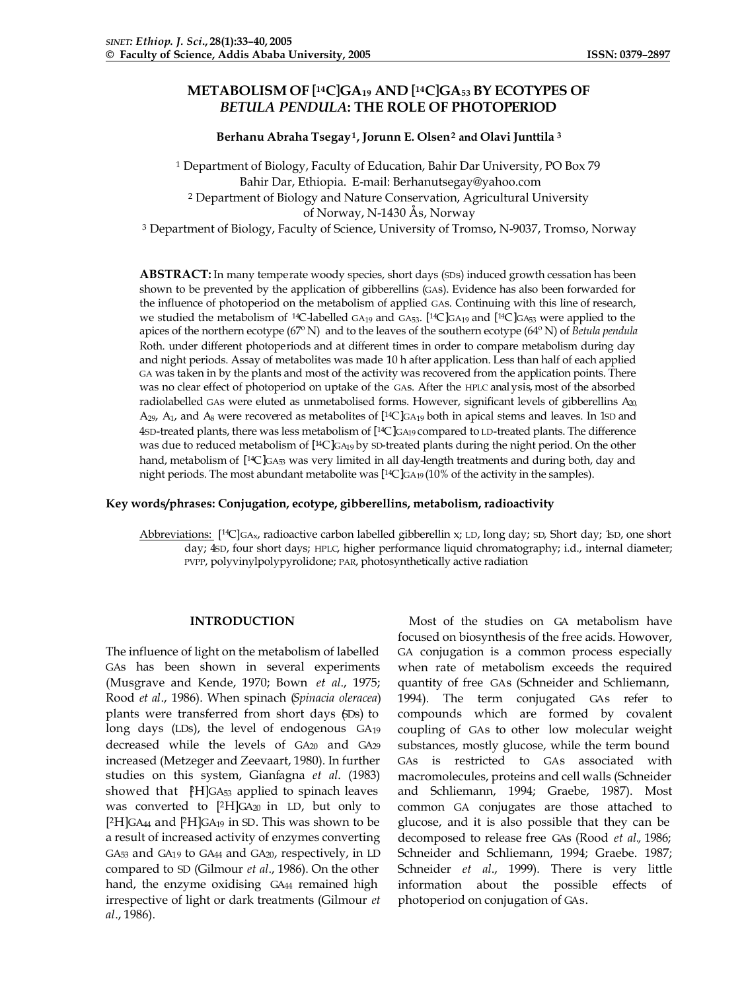# **METABOLISM OF [ <sup>14</sup>C]GA19 AND [ <sup>14</sup>C]GA53 BY ECOTYPES OF**  *BETULA PENDULA***: THE ROLE OF PHOTOPERIOD**

### **Berhanu Abraha Tsegay1, Jorunn E. Olsen<sup>2</sup> and Olavi Junttila <sup>3</sup>**

<sup>1</sup> Department of Biology, Faculty of Education, Bahir Dar University, PO Box 79 Bahir Dar, Ethiopia. E-mail: Berhanutsegay@yahoo.com <sup>2</sup> Department of Biology and Nature Conservation, Agricultural University of Norway, N-1430 Ås, Norway

<sup>3</sup> Department of Biology, Faculty of Science, University of Tromso, N-9037, Tromso, Norway

**ABSTRACT:** In many temperate woody species, short days (SDs) induced growth cessation has been shown to be prevented by the application of gibberellins (GAs). Evidence has also been forwarded for the influence of photoperiod on the metabolism of applied GAs. Continuing with this line of research, we studied the metabolism of <sup>14</sup>C-labelled  $GA_{19}$  and  $GA_{53}$ . [<sup>14</sup>C] $GA_{19}$  and [<sup>14</sup>C] $GA_{53}$  were applied to the apices of the northern ecotype (67º N) and to the leaves of the southern ecotype (64º N) of *Betula pendula* Roth. under different photoperiods and at different times in order to compare metabolism during day and night periods. Assay of metabolites was made 10 h after application. Less than half of each applied GA was taken in by the plants and most of the activity was recovered from the application points. There was no clear effect of photoperiod on uptake of the GAs. After the HPLC analysis, most of the absorbed radiolabelled GAs were eluted as unmetabolised forms. However, significant levels of gibberellins  $A_{20}$ ,  $A_{29}$ ,  $A_1$ , and  $A_8$  were recovered as metabolites of  $[14C]$ G $A_{19}$  both in apical stems and leaves. In 1sD and 4SD-treated plants, there was less metabolism of [ <sup>14</sup>C]GA19 compared to LD-treated plants. The difference was due to reduced metabolism of [<sup>14</sup>C]GA<sub>19</sub> by SD-treated plants during the night period. On the other hand, metabolism of [<sup>14</sup>C]GA<sub>53</sub> was very limited in all day-length treatments and during both, day and night periods. The most abundant metabolite was  $[14C]$ GA<sub>19</sub> (10% of the activity in the samples).

### **Key words/phrases: Conjugation, ecotype, gibberellins, metabolism, radioactivity**

Abbreviations: [14C]GAx, radioactive carbon labelled gibberellin x; LD, long day; SD, Short day; 1SD, one short day; 4SD, four short days; HPLC, higher performance liquid chromatography; i.d., internal diameter; PVPP, polyvinylpolypyrolidone; PAR, photosynthetically active radiation

#### **INTRODUCTION**

The influence of light on the metabolism of labelled GAs has been shown in several experiments (Musgrave and Kende, 1970; Bown *et al*., 1975; Rood *et al*., 1986). When spinach (*Spinacia oleracea*) plants were transferred from short days (SDs) to long days (LDs), the level of endogenous GA<sup>19</sup> decreased while the levels of GA<sub>20</sub> and GA<sub>29</sub> increased (Metzeger and Zeevaart, 1980). In further studies on this system, Gianfagna *et al*. (1983) showed that  $\beta$ H]GA<sub>53</sub> applied to spinach leaves was converted to [ <sup>2</sup>H]GA20 in LD, but only to  $[2H]$ GA<sub>44</sub> and  $[2H]$ GA<sub>19</sub> in SD. This was shown to be a result of increased activity of enzymes converting GA53 and GA19 to GA44 and GA20, respectively, in LD compared to SD (Gilmour *et al*., 1986). On the other hand, the enzyme oxidising GA44 remained high irrespective of light or dark treatments (Gilmour *et al*., 1986).

Most of the studies on GA metabolism have focused on biosynthesis of the free acids. Howover, GA conjugation is a common process especially when rate of metabolism exceeds the required quantity of free GAs (Schneider and Schliemann, 1994). The term conjugated GAs refer to compounds which are formed by covalent coupling of GAs to other low molecular weight substances, mostly glucose, while the term bound GAs is restricted to GAs associated with macromolecules, proteins and cell walls (Schneider and Schliemann, 1994; Graebe, 1987). Most common GA conjugates are those attached to glucose, and it is also possible that they can be decomposed to release free GAs (Rood *et al.,* 1986; Schneider and Schliemann, 1994; Graebe. 1987; Schneider *et al*., 1999). There is very little information about the possible effects of photoperiod on conjugation of GAs.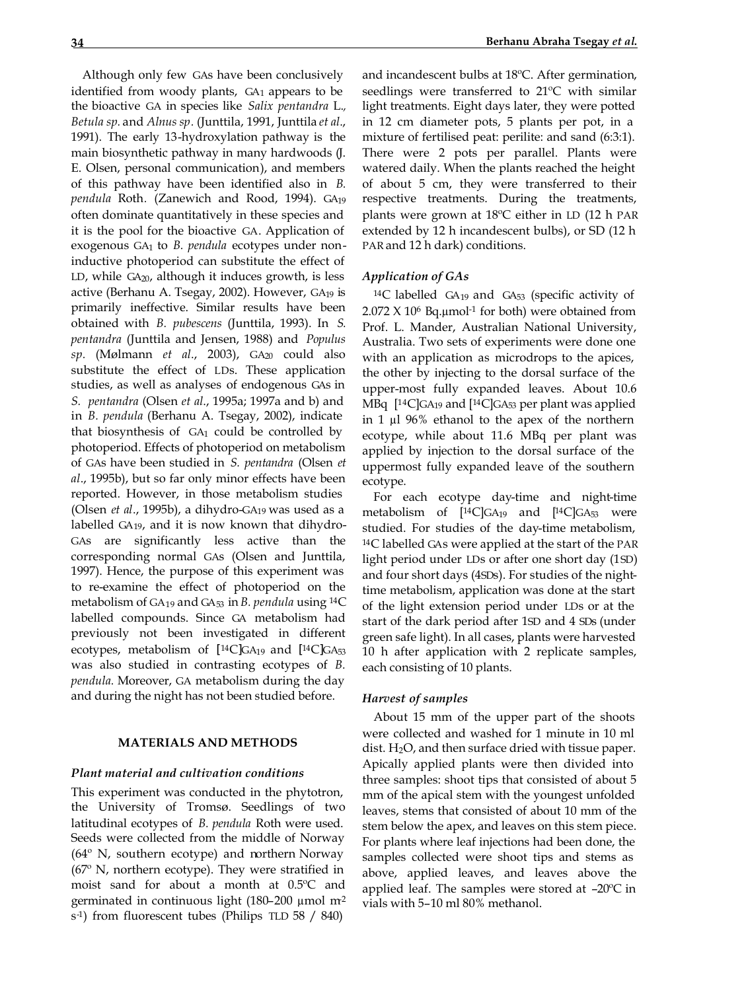Although only few GAs have been conclusively identified from woody plants,  $GA<sub>1</sub>$  appears to be the bioactive GA in species like *Salix pentandra* L.*, Betula sp.* and *Alnus sp.* (Junttila, 1991, Junttila *et al*., 1991). The early 13-hydroxylation pathway is the main biosynthetic pathway in many hardwoods (J. E. Olsen, personal communication), and members of this pathway have been identified also in *B. pendula* Roth*.* (Zanewich and Rood, 1994). GA<sup>19</sup> often dominate quantitatively in these species and it is the pool for the bioactive GA. Application of exogenous GA1 to *B. pendula* ecotypes under noninductive photoperiod can substitute the effect of LD, while  $GA_{20}$ , although it induces growth, is less active (Berhanu A. Tsegay, 2002). However, GA19 is primarily ineffective. Similar results have been obtained with *B. pubescens* (Junttila, 1993). In *S. pentandra* (Junttila and Jensen, 1988) and *Populus sp.* (Mølmann *et al*., 2003), GA20 could also substitute the effect of LDs. These application studies, as well as analyses of endogenous GAs in *S. pentandra* (Olsen *et al*., 1995a; 1997a and b) and in *B. pendula* (Berhanu A. Tsegay, 2002), indicate that biosynthesis of  $GA<sub>1</sub>$  could be controlled by photoperiod. Effects of photoperiod on metabolism of GAs have been studied in *S. pentandra* (Olsen *et al*., 1995b), but so far only minor effects have been reported. However, in those metabolism studies (Olsen *et al*., 1995b), a dihydro-GA19 was used as a labelled GA19, and it is now known that dihydro-GAs are significantly less active than the corresponding normal GAs (Olsen and Junttila, 1997). Hence, the purpose of this experiment was to re-examine the effect of photoperiod on the metabolism of GA19 and GA53 in *B. pendula* using 14C labelled compounds. Since GA metabolism had previously not been investigated in different ecotypes, metabolism of [<sup>14</sup>C]GA<sub>19</sub> and [<sup>14</sup>C]GA<sub>53</sub> was also studied in contrasting ecotypes of *B. pendula.* Moreover, GA metabolism during the day and during the night has not been studied before.

#### **MATERIALS AND METHODS**

#### *Plant material and cultivation conditions*

This experiment was conducted in the phytotron, the University of Tromsø. Seedlings of two latitudinal ecotypes of *B. pendula* Roth were used. Seeds were collected from the middle of Norway (64º N, southern ecotype) and northern Norway (67º N, northern ecotype). They were stratified in moist sand for about a month at 0.5ºC and germinated in continuous light  $(180-200 \text{ \mu m}) \text{ m}^2$ s -1) from fluorescent tubes (Philips TLD 58 / 840)

and incandescent bulbs at 18ºC. After germination, seedlings were transferred to 21ºC with similar light treatments. Eight days later, they were potted in 12 cm diameter pots, 5 plants per pot, in a mixture of fertilised peat: perilite: and sand (6:3:1). There were 2 pots per parallel. Plants were watered daily. When the plants reached the height of about 5 cm, they were transferred to their respective treatments. During the treatments, plants were grown at 18ºC either in LD (12 h PAR extended by 12 h incandescent bulbs), or SD (12 h PAR and 12 h dark) conditions.

#### *Application of GAs*

<sup>14</sup>C labelled GA19 and GA53 (specific activity of  $2.072$  X 10<sup>6</sup> Bq.µmol<sup>-1</sup> for both) were obtained from Prof. L. Mander, Australian National University, Australia. Two sets of experiments were done one with an application as microdrops to the apices, the other by injecting to the dorsal surface of the upper-most fully expanded leaves. About 10.6 MBq [<sup>14</sup>C]GA<sub>19</sub> and [<sup>14</sup>C]GA<sub>53</sub> per plant was applied in 1 µl 96% ethanol to the apex of the northern ecotype, while about 11.6 MBq per plant was applied by injection to the dorsal surface of the uppermost fully expanded leave of the southern ecotype.

For each ecotype day-time and night-time metabolism of [ <sup>14</sup>C]GA19 and [ <sup>14</sup>C]GA53 were studied. For studies of the day-time metabolism, <sup>14</sup>C labelled GAs were applied at the start of the PAR light period under LDs or after one short day (1SD) and four short days (4SDs). For studies of the nighttime metabolism, application was done at the start of the light extension period under LDs or at the start of the dark period after 1SD and 4 SDs (under green safe light). In all cases, plants were harvested 10 h after application with 2 replicate samples, each consisting of 10 plants.

#### *Harvest of samples*

About 15 mm of the upper part of the shoots were collected and washed for 1 minute in 10 ml dist. H2O, and then surface dried with tissue paper. Apically applied plants were then divided into three samples: shoot tips that consisted of about 5 mm of the apical stem with the youngest unfolded leaves, stems that consisted of about 10 mm of the stem below the apex, and leaves on this stem piece. For plants where leaf injections had been done, the samples collected were shoot tips and stems as above, applied leaves, and leaves above the applied leaf. The samples were stored at –20ºC in vials with 5–10 ml 80% methanol.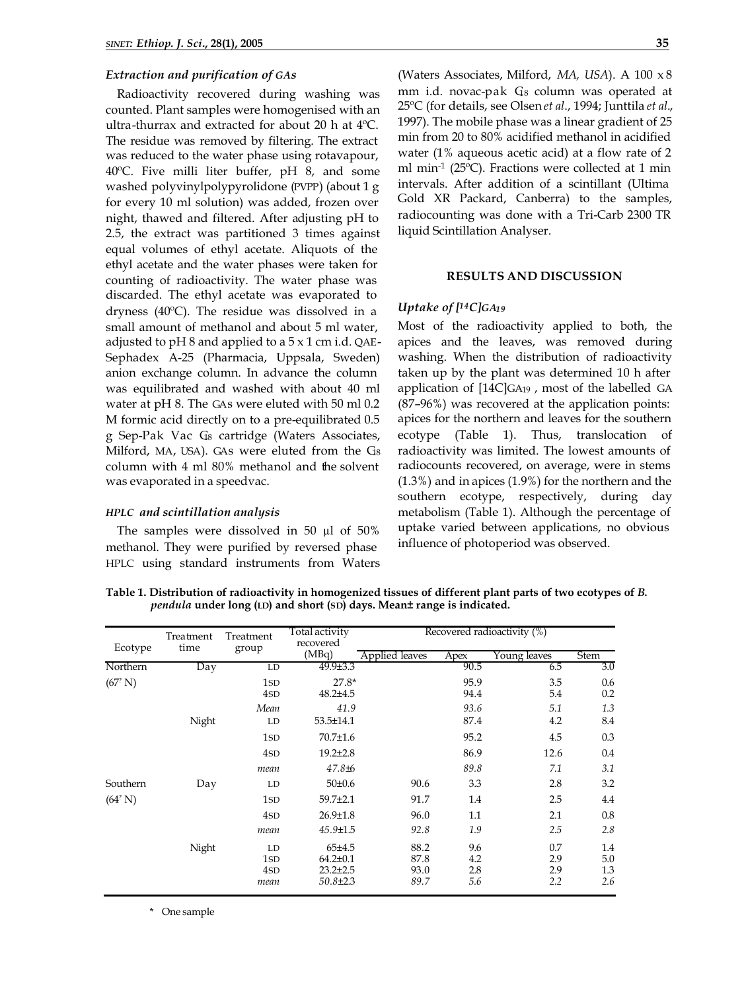## *Extraction and purification of GAs*

Radioactivity recovered during washing was counted. Plant samples were homogenised with an ultra-thurrax and extracted for about 20 h at 4ºC. The residue was removed by filtering. The extract was reduced to the water phase using rotavapour, 40ºC. Five milli liter buffer, pH 8, and some washed polyvinylpolypyrolidone (PVPP) (about 1 g for every 10 ml solution) was added, frozen over night, thawed and filtered. After adjusting pH to 2.5, the extract was partitioned 3 times against equal volumes of ethyl acetate. Aliquots of the ethyl acetate and the water phases were taken for counting of radioactivity. The water phase was discarded. The ethyl acetate was evaporated to dryness (40ºC). The residue was dissolved in a small amount of methanol and about 5 ml water, adjusted to pH 8 and applied to a  $5 \times 1$  cm i.d. QAE-Sephadex A-25 (Pharmacia, Uppsala, Sweden) anion exchange column. In advance the column was equilibrated and washed with about 40 ml water at pH 8. The GAs were eluted with 50 ml 0.2 M formic acid directly on to a pre-equilibrated 0.5 g Sep-Pak Vac Gs cartridge (Waters Associates, Milford, MA, USA). GAs were eluted from the G<sub>8</sub> column with 4 ml 80% methanol and the solvent was evaporated in a speedvac.

### *HPLC and scintillation analysis*

The samples were dissolved in 50 µl of 50% methanol. They were purified by reversed phase HPLC using standard instruments from Waters (Waters Associates, Milford, *MA, USA*). A 100 x 8 mm i.d. novac-pak G<sub>8</sub> column was operated at 25ºC (for details, see Olsen *et al*., 1994; Junttila *et al*., 1997). The mobile phase was a linear gradient of 25 min from 20 to 80% acidified methanol in acidified water (1% aqueous acetic acid) at a flow rate of 2 ml min-1 (25ºC). Fractions were collected at 1 min intervals. After addition of a scintillant (Ultima Gold XR Packard, Canberra) to the samples, radiocounting was done with a Tri-Carb 2300 TR liquid Scintillation Analyser.

#### **RESULTS AND DISCUSSION**

## *Uptake of [14C]GA<sup>19</sup>*

Most of the radioactivity applied to both, the apices and the leaves, was removed during washing. When the distribution of radioactivity taken up by the plant was determined 10 h after application of [14C]GA<sup>19</sup> , most of the labelled GA (87–96%) was recovered at the application points: apices for the northern and leaves for the southern ecotype (Table 1). Thus, translocation of radioactivity was limited. The lowest amounts of radiocounts recovered, on average, were in stems (1.3%) and in apices (1.9%) for the northern and the southern ecotype, respectively, during day metabolism (Table 1). Although the percentage of uptake varied between applications, no obvious influence of photoperiod was observed.

**Table 1. Distribution of radioactivity in homogenized tissues of different plant parts of two ecotypes of** *B. pendula* **under long (LD) and short (SD) days. Mean± range is indicated.**

| Ecotype               | Treatment<br>time<br>$\overline{Day}$ | Treatment                            | Total activity<br>recovered                                      | Recovered radioactivity (%)  |                          |                          |                          |  |
|-----------------------|---------------------------------------|--------------------------------------|------------------------------------------------------------------|------------------------------|--------------------------|--------------------------|--------------------------|--|
|                       |                                       | group                                | (MBq)                                                            | Applied leaves               | Apex                     | Young leaves             | <b>Stem</b>              |  |
| Northern              |                                       | LD                                   | $49.9{\pm}3.3$                                                   |                              | 90.5                     | 6.5                      | 3.0                      |  |
| $(67$ <sup>2</sup> N) |                                       | 1 <sub>SD</sub><br>4 <sub>SD</sub>   | $27.8*$<br>$48.2{\pm}4.5$                                        |                              | 95.9<br>94.4             | 3.5<br>5.4               | 0.6<br>0.2               |  |
|                       | Night                                 | Mean<br>LD                           | 41.9<br>$53.5 \pm 14.1$                                          |                              | 93.6<br>87.4             | 5.1<br>4.2               | 1.3<br>8.4               |  |
|                       |                                       | 1 <sub>SD</sub>                      | 70.7±1.6                                                         |                              | 95.2                     | 4.5                      | 0.3                      |  |
|                       |                                       | 4SD                                  | $19.2{\pm}2.8$                                                   |                              | 86.9                     | 12.6                     | 0.4                      |  |
|                       |                                       | mean                                 | $47.8\pm 6$                                                      |                              | 89.8                     | 7.1                      | 3.1                      |  |
| Southern              | Day                                   | LD                                   | $50 \pm 0.6$                                                     | 90.6                         | 3.3                      | 2.8                      | 3.2                      |  |
| $(64^? N)$            |                                       | 1 <sub>SD</sub>                      | $59.7 \pm 2.1$                                                   | 91.7                         | 1.4                      | 2.5                      | 4.4                      |  |
|                       |                                       | 4SD                                  | $26.9 \pm 1.8$                                                   | 96.0                         | 1.1                      | 2.1                      | 0.8                      |  |
|                       |                                       | mean                                 | $45.9 \pm 1.5$                                                   | 92.8                         | 1.9                      | 2.5                      | 2.8                      |  |
|                       | Night                                 | LD<br>1 <sub>SD</sub><br>4SD<br>mean | $65 + 4.5$<br>$64.2{\pm}0.1$<br>$23.2 \pm 2.5$<br>$50.8{\pm}2.3$ | 88.2<br>87.8<br>93.0<br>89.7 | 9.6<br>4.2<br>2.8<br>5.6 | 0.7<br>2.9<br>2.9<br>2.2 | 1.4<br>5.0<br>1.3<br>2.6 |  |

\* One sample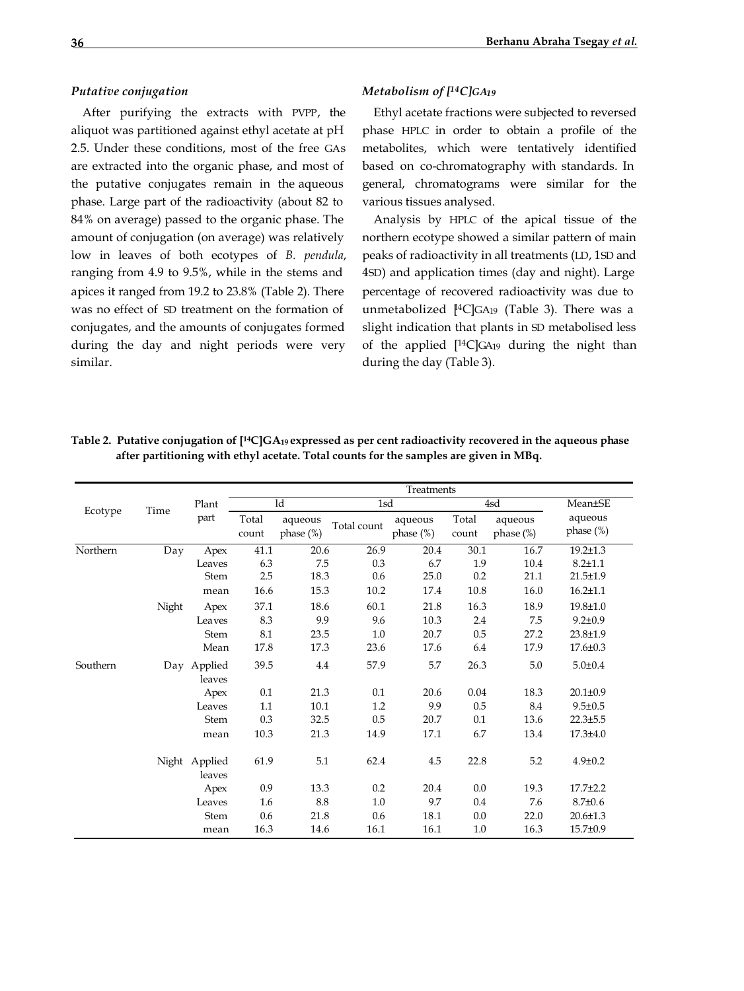## *Putative conjugation*

After purifying the extracts with PVPP, the aliquot was partitioned against ethyl acetate at pH 2.5. Under these conditions, most of the free GAs are extracted into the organic phase, and most of the putative conjugates remain in the aqueous phase. Large part of the radioactivity (about 82 to 84% on average) passed to the organic phase. The amount of conjugation (on average) was relatively low in leaves of both ecotypes of *B. pendula*, ranging from 4.9 to 9.5%, while in the stems and apices it ranged from 19.2 to 23.8% (Table 2). There was no effect of SD treatment on the formation of conjugates, and the amounts of conjugates formed during the day and night periods were very similar.

#### *Metabolism of [14C]GA<sup>19</sup>*

Ethyl acetate fractions were subjected to reversed phase HPLC in order to obtain a profile of the metabolites, which were tentatively identified based on co-chromatography with standards. In general, chromatograms were similar for the various tissues analysed.

Analysis by HPLC of the apical tissue of the northern ecotype showed a similar pattern of main peaks of radioactivity in all treatments (LD, 1SD and 4SD) and application times (day and night). Large percentage of recovered radioactivity was due to unmetabolized  $[4C]$ GA<sub>19</sub> (Table 3). There was a slight indication that plants in SD metabolised less of the applied [ <sup>14</sup>C]GA19 during the night than during the day (Table 3).

| Ecotype  | Time  | Plant<br>part           | ld             |                         | 1sd         |                         | 4sd            |                         | Mean±SE                 |
|----------|-------|-------------------------|----------------|-------------------------|-------------|-------------------------|----------------|-------------------------|-------------------------|
|          |       |                         | Total<br>count | aqueous<br>phase $(\%)$ | Total count | aqueous<br>phase $(\%)$ | Total<br>count | aqueous<br>$phase (\%)$ | aqueous<br>phase $(\%)$ |
| Northern | Day   | Apex                    | 41.1           | 20.6                    | 26.9        | 20.4                    | 30.1           | 16.7                    | $19.2 \pm 1.3$          |
|          |       | Leaves                  | 6.3            | 7.5                     | 0.3         | 6.7                     | 1.9            | 10.4                    | $8.2 \pm 1.1$           |
|          |       | Stem                    | 2.5            | 18.3                    | 0.6         | 25.0                    | 0.2            | 21.1                    | $21.5 \pm 1.9$          |
|          |       | mean                    | 16.6           | 15.3                    | 10.2        | 17.4                    | 10.8           | 16.0                    | $16.2{\pm}1.1$          |
|          | Night | Apex                    | 37.1           | 18.6                    | 60.1        | 21.8                    | 16.3           | 18.9                    | $19.8 \pm 1.0$          |
|          |       | Leaves                  | 8.3            | 9.9                     | 9.6         | 10.3                    | 2.4            | 7.5                     | $9.2 \pm 0.9$           |
|          |       | Stem                    | 8.1            | 23.5                    | 1.0         | 20.7                    | 0.5            | 27.2                    | $23.8 \pm 1.9$          |
|          |       | Mean                    | 17.8           | 17.3                    | 23.6        | 17.6                    | 6.4            | 17.9                    | $17.6 \pm 0.3$          |
| Southern |       | Day Applied<br>leaves   | 39.5           | $4.4\,$                 | 57.9        | 5.7                     | 26.3           | $5.0\,$                 | $5.0 \pm 0.4$           |
|          |       | Apex                    | 0.1            | 21.3                    | 0.1         | 20.6                    | 0.04           | 18.3                    | $20.1 \pm 0.9$          |
|          |       | Leaves                  | 1.1            | 10.1                    | 1.2         | 9.9                     | 0.5            | 8.4                     | $9.5 \pm 0.5$           |
|          |       | Stem                    | 0.3            | 32.5                    | 0.5         | 20.7                    | 0.1            | 13.6                    | $22.3 \pm 5.5$          |
|          |       | mean                    | 10.3           | 21.3                    | 14.9        | 17.1                    | 6.7            | 13.4                    | $17.3 \pm 4.0$          |
|          |       | Night Applied<br>leaves | 61.9           | 5.1                     | 62.4        | 4.5                     | 22.8           | 5.2                     | $4.9 \pm 0.2$           |
|          |       | Apex                    | 0.9            | 13.3                    | 0.2         | 20.4                    | 0.0            | 19.3                    | $17.7 \pm 2.2$          |
|          |       | Leaves                  | 1.6            | 8.8                     | 1.0         | 9.7                     | 0.4            | 7.6                     | $8.7 \pm 0.6$           |
|          |       | Stem                    | 0.6            | 21.8                    | 0.6         | 18.1                    | 0.0            | 22.0                    | $20.6 \pm 1.3$          |
|          |       | mean                    | 16.3           | 14.6                    | 16.1        | 16.1                    | 1.0            | 16.3                    | $15.7 \pm 0.9$          |

**Table 2. Putative conjugation of [14C]GA<sup>19</sup> expressed as per cent radioactivity recovered in the aqueous phase after partitioning with ethyl acetate. Total counts for the samples are given in MBq.**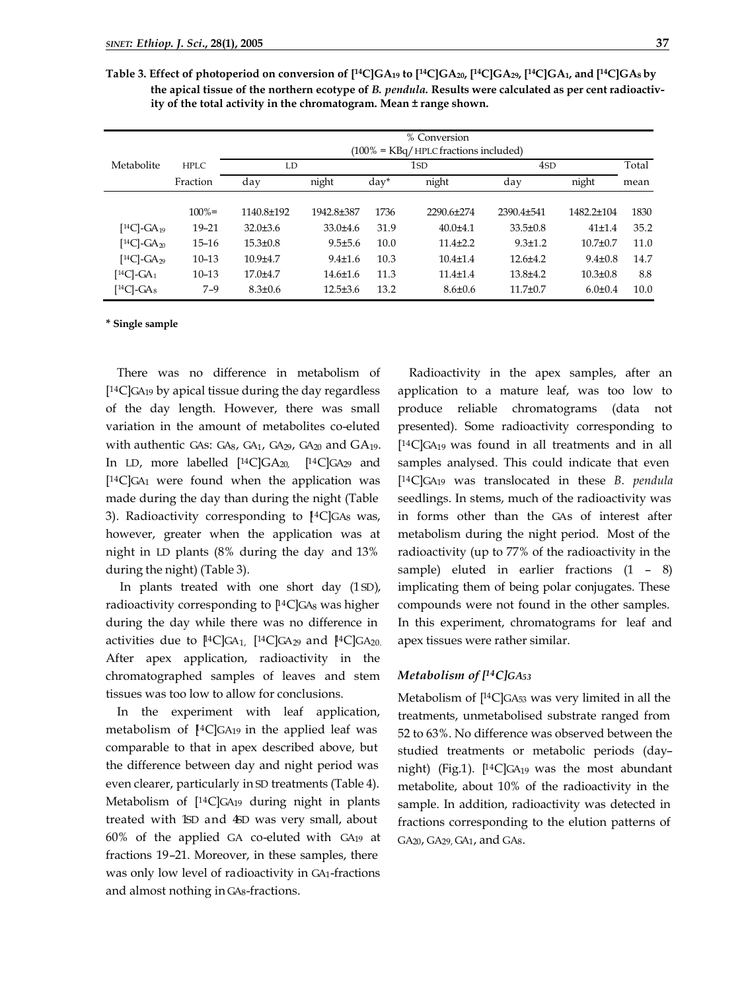Table 3. Effect of photoperiod on conversion of  $[^{14}C]GA_{19}$  to  $[^{14}C]GA_{20}$ ,  $[^{14}C]GA_{29}$ ,  $[^{14}C]GA_{17}$ , and  $[^{14}C]GA_{8}$  by **the apical tissue of the northern ecotype of** *B. pendula.* **Results were calculated as per cent radioactivity of the total activity in the chromatogram. Mean ± range shown.**

|                                                    |             |                                           |                |         | % Conversion    |                 |                |       |  |  |
|----------------------------------------------------|-------------|-------------------------------------------|----------------|---------|-----------------|-----------------|----------------|-------|--|--|
|                                                    |             | $(100\% = KBq / HPLC fractions included)$ |                |         |                 |                 |                |       |  |  |
| Metabolite                                         | <b>HPLC</b> | LD                                        |                |         | 1 <sub>SD</sub> | 4 <sub>SD</sub> |                | Total |  |  |
|                                                    | Fraction    | day                                       | night          | $day^*$ | night           | day             | night          | mean  |  |  |
|                                                    |             |                                           |                |         |                 |                 |                |       |  |  |
|                                                    | $100\% =$   | 1140.8±192                                | 1942.8±387     | 1736    | 2290.6±274      | 2390.4±541      | 1482.2±104     | 1830  |  |  |
| $[$ <sup>14</sup> C <sub>l</sub> -GA <sub>19</sub> | 19-21       | $32.0 \pm 3.6$                            | $33.0 \pm 4.6$ | 31.9    | $40.0 \pm 4.1$  | $33.5 \pm 0.8$  | $41 \pm 1.4$   | 35.2  |  |  |
| $[$ <sup>14</sup> Cl-GA <sub>20</sub>              | $15 - 16$   | $15.3 \pm 0.8$                            | $9.5 \pm 5.6$  | 10.0    | $11.4 \pm 2.2$  | $9.3 \pm 1.2$   | $10.7 \pm 0.7$ | 11.0  |  |  |
| $[$ <sup>14</sup> Cl-GA <sub>29</sub>              | $10 - 13$   | $10.9 + 4.7$                              | $9.4 \pm 1.6$  | 10.3    | $10.4 \pm 1.4$  | $12.6 + 4.2$    | $9.4 \pm 0.8$  | 14.7  |  |  |
| $[$ <sup>14</sup> C $]-CA1$                        | $10 - 13$   | $17.0 + 4.7$                              | $14.6 \pm 1.6$ | 11.3    | $11.4 \pm 1.4$  | $13.8 + 4.2$    | $10.3 \pm 0.8$ | 8.8   |  |  |
| $[$ <sup>14</sup> C <sub>l</sub> -GA <sub>8</sub>  | $7 - 9$     | $8.3 \pm 0.6$                             | $12.5 \pm 3.6$ | 13.2    | $8.6 \pm 0.6$   | $11.7 \pm 0.7$  | $6.0 \pm 0.4$  | 10.0  |  |  |

**\* Single sample**

There was no difference in metabolism of [ <sup>14</sup>C]GA19 by apical tissue during the day regardless of the day length. However, there was small variation in the amount of metabolites co-eluted with authentic GAs: GA<sub>8</sub>, GA<sub>1</sub>, GA<sub>29</sub>, GA<sub>20</sub> and GA<sub>19</sub>. In LD, more labelled [ <sup>14</sup>C]GA20, [14C]GA29 and [ <sup>14</sup>C]GA1 were found when the application was made during the day than during the night (Table 3). Radioactivity corresponding to  $[4C]$ GA<sub>8</sub> was, however, greater when the application was at night in LD plants (8% during the day and 13% during the night) (Table 3).

In plants treated with one short day  $(1 SD)$ , radioactivity corresponding to  $[14C]$ GA<sub>8</sub> was higher during the day while there was no difference in activities due to  $[^{4}C]$ GA1,  $[^{14}C]$ GA29 and  $[^{4}C]$ GA20. After apex application, radioactivity in the chromatographed samples of leaves and stem tissues was too low to allow for conclusions.

In the experiment with leaf application, metabolism of  $[4C]$ GA<sub>19</sub> in the applied leaf was comparable to that in apex described above, but the difference between day and night period was even clearer, particularly in SD treatments (Table 4). Metabolism of [ <sup>14</sup>C]GA19 during night in plants treated with 1SD and 4SD was very small, about 60% of the applied GA co-eluted with GA19 at fractions 19–21. Moreover, in these samples, there was only low level of radioactivity in GA1-fractions and almost nothing in GA8-fractions.

Radioactivity in the apex samples, after an application to a mature leaf, was too low to produce reliable chromatograms (data not presented). Some radioactivity corresponding to [ <sup>14</sup>C]GA19 was found in all treatments and in all samples analysed. This could indicate that even [ <sup>14</sup>C]GA19 was translocated in these *B. pendula* seedlings. In stems, much of the radioactivity was in forms other than the GAs of interest after metabolism during the night period. Most of the radioactivity (up to 77% of the radioactivity in the sample) eluted in earlier fractions  $(1 - 8)$ implicating them of being polar conjugates. These compounds were not found in the other samples. In this experiment, chromatograms for leaf and apex tissues were rather similar.

## *Metabolism of [14C]GA<sup>53</sup>*

Metabolism of [14C]GA53 was very limited in all the treatments, unmetabolised substrate ranged from 52 to 63%. No difference was observed between the studied treatments or metabolic periods (day– night) (Fig.1). [ <sup>14</sup>C]GA19 was the most abundant metabolite, about 10% of the radioactivity in the sample. In addition, radioactivity was detected in fractions corresponding to the elution patterns of  $GA_{20}$ ,  $GA_{29}$ ,  $GA_1$ , and  $GAs$ .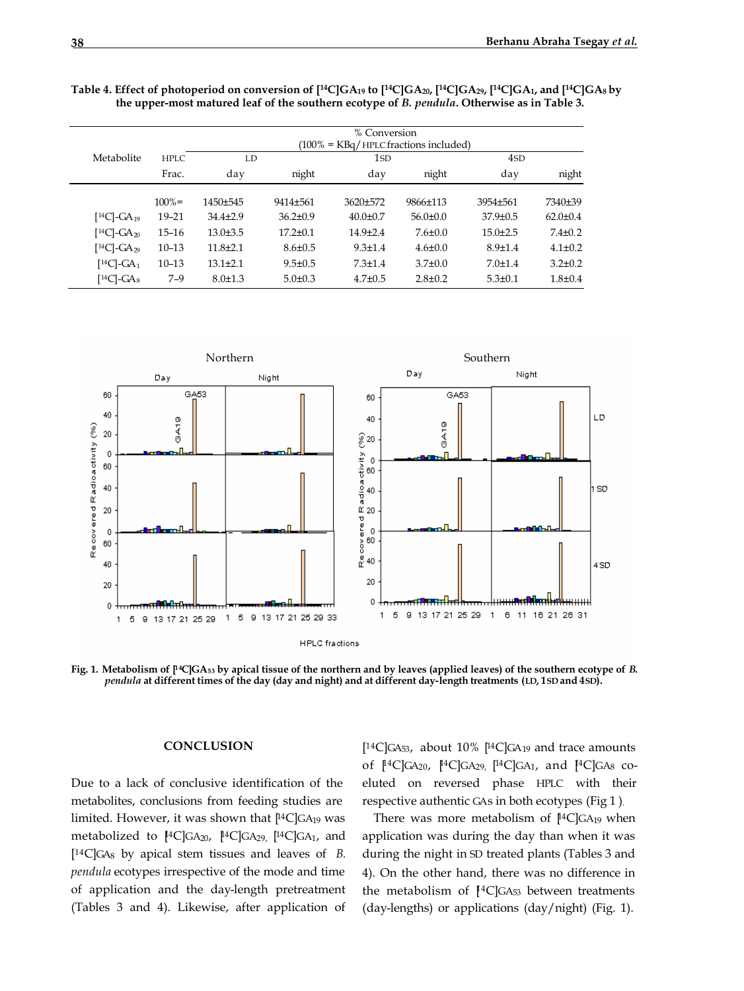|                                       | % Conversion<br>$(100\% = KBq / HPLC fractions included)$ |                |                |                 |                |                 |                |  |  |
|---------------------------------------|-----------------------------------------------------------|----------------|----------------|-----------------|----------------|-----------------|----------------|--|--|
| Metabolite                            | HPLC.                                                     | LD             |                | 1 <sub>SD</sub> |                | 4 <sub>SD</sub> |                |  |  |
|                                       | Frac.                                                     | day            | night          | day             | night          | day             | night          |  |  |
|                                       | $100\% =$                                                 | 1450±545       | 9414±561       | $3620 \pm 572$  | 9866±113       | 3954±561        | 7340±39        |  |  |
| $[$ <sup>14</sup> Cl-GA <sub>19</sub> | $19 - 21$                                                 | $34.4 \pm 2.9$ | $36.2 \pm 0.9$ | $40.0 \pm 0.7$  | $56.0 \pm 0.0$ | $37.9 \pm 0.5$  | $62.0 \pm 0.4$ |  |  |
| $[$ <sup>14</sup> Cl-GA <sub>20</sub> | $15 - 16$                                                 | $13.0 \pm 3.5$ | $17.2 \pm 0.1$ | $14.9{\pm}2.4$  | $7.6 \pm 0.0$  | $15.0 \pm 2.5$  | $7.4 \pm 0.2$  |  |  |
| $[$ <sup>14</sup> Cl-GA <sub>29</sub> | $10 - 13$                                                 | $11.8 \pm 2.1$ | $8.6 \pm 0.5$  | $9.3 \pm 1.4$   | $4.6 \pm 0.0$  | $8.9 \pm 1.4$   | $4.1 \pm 0.2$  |  |  |
| $[$ <sup>14</sup> C $]-GA1$           | $10 - 13$                                                 | $13.1 \pm 2.1$ | $9.5 \pm 0.5$  | $7.3 \pm 1.4$   | $3.7 \pm 0.0$  | $7.0 \pm 1.4$   | $3.2 \pm 0.2$  |  |  |
| $[$ <sup>14</sup> Cl-GA <sub>8</sub>  | $7 - 9$                                                   | $8.0 \pm 1.3$  | $5.0 \pm 0.3$  | $4.7 \pm 0.5$   | $2.8 \pm 0.2$  | $5.3 \pm 0.1$   | $1.8 + 0.4$    |  |  |

Table 4. Effect of photoperiod on conversion of [<sup>14</sup>C]GA<sub>19</sub> to [<sup>14</sup>C]GA<sub>20</sub>, [<sup>14</sup>C]GA<sub>29</sub>, [<sup>14</sup>C]GA<sub>1</sub>, and [<sup>14</sup>C]GA<sub>8</sub> by **the upper-most matured leaf of the southern ecotype of** *B. pendula***. Otherwise as in Table 3.**



**Fig. 1. Metabolism of [14C]GA53 by apical tissue of the northern and by leaves (applied leaves) of the southern ecotype of** *B. pendula* **at different times of the day (day and night) and at different day-length treatments (LD, 1SD and 4SD).**

## **CONCLUSION**

Due to a lack of conclusive identification of the metabolites, conclusions from feeding studies are limited. However, it was shown that [14C]GA19 was metabolized to [4C]GA<sub>20</sub>, [4C]GA<sub>29</sub>, [<sup>14</sup>C]GA<sub>1</sub>, and [ <sup>14</sup>C]GA8 by apical stem tissues and leaves of *B. pendula* ecotypes irrespective of the mode and time of application and the day-length pretreatment (Tables 3 and 4). Likewise, after application of

[ $14C$ ]GA<sub>53</sub>, about 10% [ $14C$ ]GA<sub>19</sub> and trace amounts of  $[{}^{14}C]GA_{20}$ ,  $[{}^{14}C]GA_{29}$ ,  $[{}^{14}C]GA_1$ , and  $[{}^{4}C]GA_8$  coeluted on reversed phase HPLC with their respective authentic GAs in both ecotypes (Fig 1 ).

There was more metabolism of  $[4C]$ GA<sub>19</sub> when application was during the day than when it was during the night in SD treated plants (Tables 3 and 4). On the other hand, there was no difference in the metabolism of  $[4C]$ GA<sub>53</sub> between treatments (day-lengths) or applications (day/night) (Fig. 1).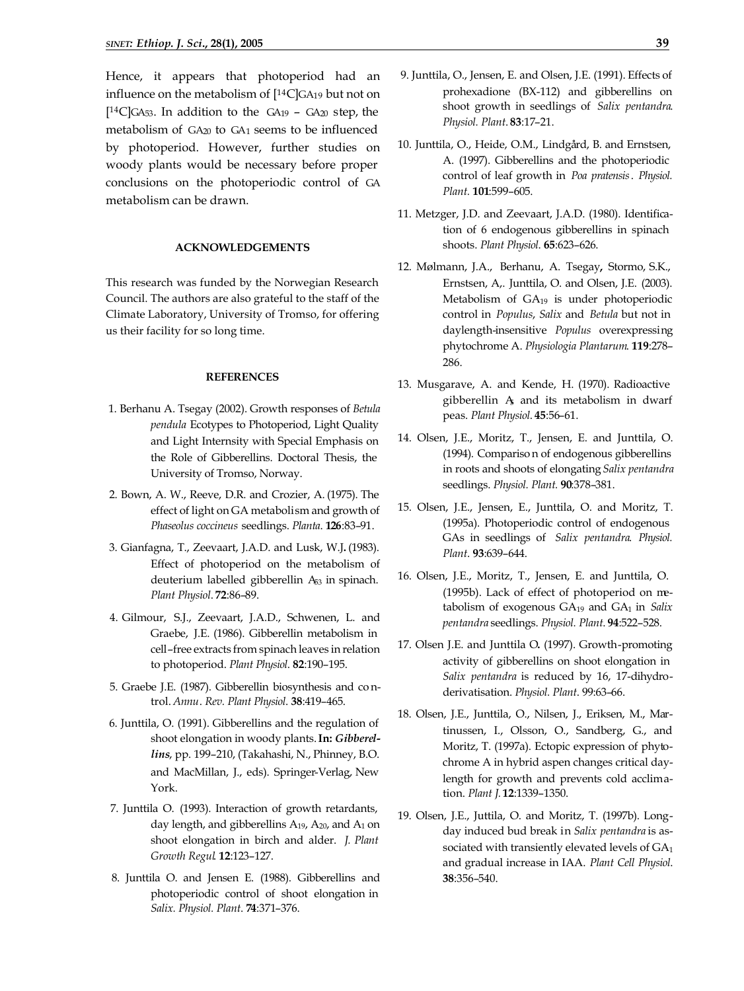Hence, it appears that photoperiod had an influence on the metabolism of [14C]GA19 but not on  $[14C]$ GA<sub>53</sub>. In addition to the GA<sub>19</sub> – GA<sub>20</sub> step, the metabolism of GA20 to GA1 seems to be influenced by photoperiod. However, further studies on woody plants would be necessary before proper conclusions on the photoperiodic control of GA metabolism can be drawn.

#### **ACKNOWLEDGEMENTS**

This research was funded by the Norwegian Research Council. The authors are also grateful to the staff of the Climate Laboratory, University of Tromso, for offering us their facility for so long time.

#### **REFERENCES**

- 1. Berhanu A. Tsegay (2002). Growth responses of *Betula pendula* Ecotypes to Photoperiod, Light Quality and Light Internsity with Special Emphasis on the Role of Gibberellins. Doctoral Thesis, the University of Tromso, Norway.
- 2. Bown, A. W., Reeve, D.R. and Crozier, A. (1975). The effect of light on GA metabolism and growth of *Phaseolus coccineus* seedlings. *Planta*. **126**:83–91.
- 3. Gianfagna, T., Zeevaart, J.A.D. and Lusk, W.J**.** (1983). Effect of photoperiod on the metabolism of deuterium labelled gibberellin A53 in spinach. *Plant Physiol*. **72**:86–89.
- 4. Gilmour, S.J., Zeevaart, J.A.D., Schwenen, L. and Graebe, J.E. (1986). Gibberellin metabolism in cell–free extracts from spinach leaves in relation to photoperiod. *Plant Physiol*. **82**:190–195.
- 5. Graebe J.E. (1987). Gibberellin biosynthesis and control. *Annu*. *Rev. Plant Physiol*. **38**:419–465.
- 6. Junttila, O. (1991). Gibberellins and the regulation of shoot elongation in woody plants. **In:** *Gibberellins*, pp. 199–210, (Takahashi, N., Phinney, B.O. and MacMillan, J., eds). Springer-Verlag, New York.
- 7. Junttila O. (1993). Interaction of growth retardants, day length, and gibberellins  $A_{19}$ ,  $A_{20}$ , and  $A_{1}$  on shoot elongation in birch and alder. *J. Plant Growth Regul*. **12**:123–127.
- 8. Junttila O. and Jensen E. (1988). Gibberellins and photoperiodic control of shoot elongation in *Salix. Physiol. Plant*. **74**:371–376.
- 9. Junttila, O., Jensen, E. and Olsen, J.E. (1991). Effects of prohexadione (BX-112) and gibberellins on shoot growth in seedlings of *Salix pentandra*. *Physiol. Plant*. **83**:17–21.
- 10. Junttila, O., Heide, O.M., Lindgård, B. and Ernstsen, A. (1997). Gibberellins and the photoperiodic control of leaf growth in *Poa pratensis*. *Physiol. Plant.* **101**:599–605.
- 11. Metzger, J.D. and Zeevaart, J.A.D. (1980). Identification of 6 endogenous gibberellins in spinach shoots. *Plant Physiol*. **65**:623–626.
- 12. Mølmann, J.A., Berhanu, A. Tsegay**,** Stormo, S.K., Ernstsen, A,. Junttila, O. and Olsen, J.E. (2003). Metabolism of GA19 is under photoperiodic control in *Populus*, *Salix* and *Betula* but not in daylength-insensitive *Populus* overexpressing phytochrome A. *Physiologia Plantarum*. **119**:278– 286.
- 13. Musgarave, A. and Kende, H. (1970). Radioactive gibberellin A5 and its metabolism in dwarf peas. *Plant Physiol*. **45**:56–61.
- 14. Olsen, J.E., Moritz, T., Jensen, E. and Junttila, O. (1994). Comparison of endogenous gibberellins in roots and shoots of elongating *Salix pentandra* seedlings. *Physiol. Plant.* **90**:378–381.
- 15. Olsen, J.E., Jensen, E., Junttila, O. and Moritz, T. (1995a). Photoperiodic control of endogenous GAs in seedlings of *Salix pentandra*. *Physiol. Plant*. **93**:639–644.
- 16. Olsen, J.E., Moritz, T., Jensen, E. and Junttila, O. (1995b). Lack of effect of photoperiod on metabolism of exogenous GA19 and GA1 in *Salix pentandra* seedlings. *Physiol. Plant*. **94**:522–528.
- 17. Olsen J.E. and Junttila O**.** (1997). Growth-promoting activity of gibberellins on shoot elongation in *Salix pentandra* is reduced by 16, 17-dihydroderivatisation. *Physiol. Plant*. 99:63–66.
- 18. Olsen, J.E., Junttila, O., Nilsen, J., Eriksen, M., Martinussen, I., Olsson, O., Sandberg, G., and Moritz, T. (1997a). Ectopic expression of phytochrome A in hybrid aspen changes critical daylength for growth and prevents cold acclimation. *Plant J.* **12**:1339–1350.
- 19. Olsen, J.E., Juttila, O. and Moritz, T. (1997b). Longday induced bud break in *Salix pentandra* is associated with transiently elevated levels of GA<sup>1</sup> and gradual increase in IAA. *Plant Cell Physiol*. **38**:356–540.